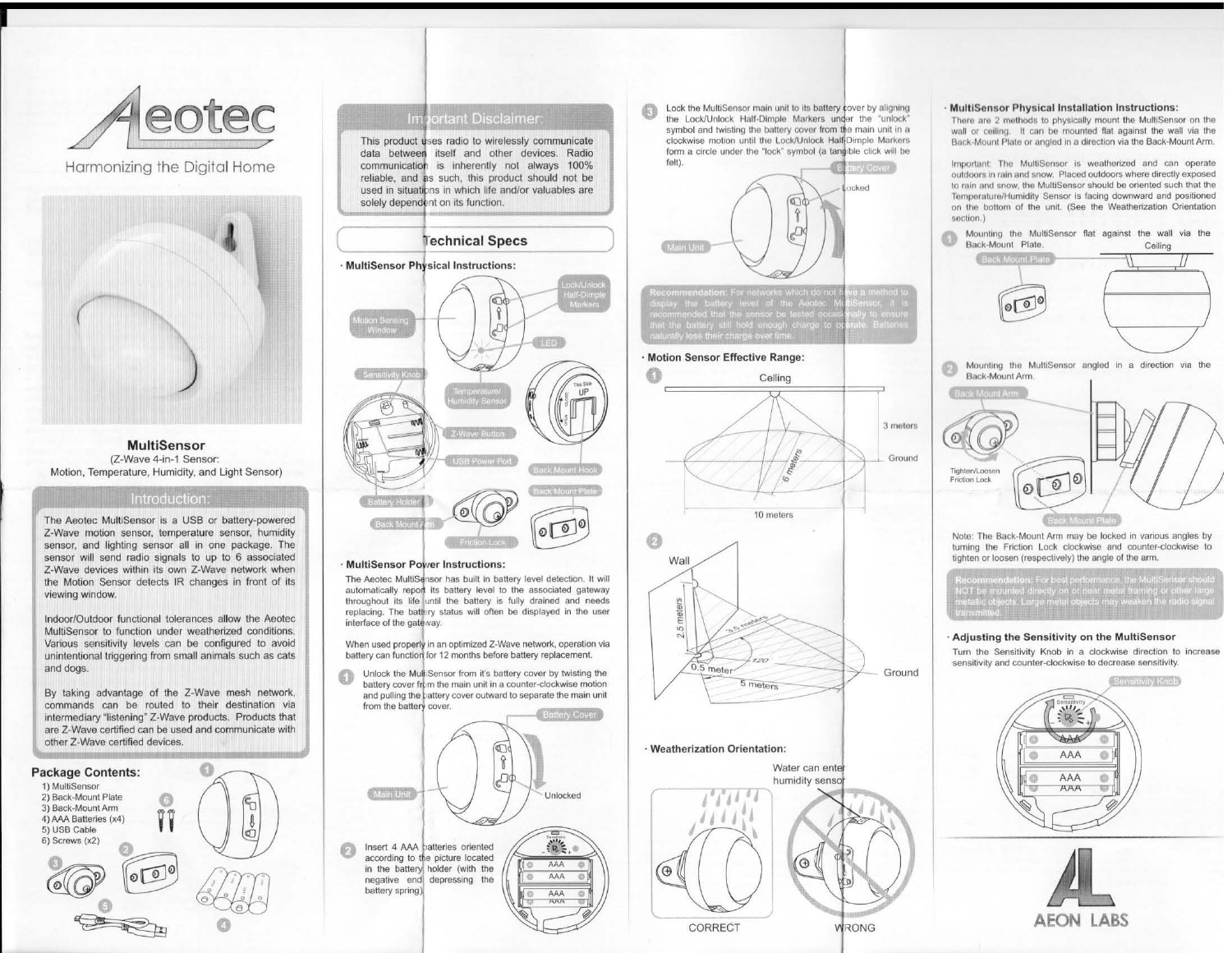

Harmonizing the Digital Home



(Z-Wave 4-in-1 Sensor: Motion, Temperature, Humidity, and Light Sensor)

### Introduction:

The Aeotec MultiSensor is a USB or battery-powered Z-Wave motion sensor, temperature sensor, humidity sensor, and lighting sensor all in one package. The sensor will send radio signals to up to 6 associated Z-Wave devices within its own Z-Wave network when the Motion Sensor detects IR changes in front of its viewing window.

Indoor/Outdoor functional tolerances allow the Aeotec MultiSensor to function under weatherized conditions. Various sensitivity levels can be configured to avoid unintentional triggering from small animals such as cats and dogs.

By taking advantage of the Z-Wave mesh network, commands can be routed to their destination via intermediary "listening" Z-Wave products. Products that are Z-Wave certified can be used and communicate with other Z-Wave certified devices.



#### Important Disclaimer:

This product uses radio to wirelessly communicate data between itself and other devices. Radio communication is inherently not always 100% reliable, and as such, this product should not be used in situations in which life and/or valuables are solely dependent on its function.

## Technical Specs

 $(\_$ 



The Aeotec MultiSensor has built in battery level detection. It will automatically report its battery level to the associated gateway throughout its life until the battery is fully drained and needs replacing. The battery status will often be displayed in the user interface of the gateway.

When used properly in an optimized Z-Wave network, operation via battery can function for 12 months before battery replacement.

Unlock the MultiSensor from it's battery cover by twisting the battery cover from the main unit in a counter-clockwise motion and pulling the battery cover outward to separate the main unit from the battery cover.



Lock the MultiSensor main unit to its battery cover by aligning the Lock/Unlock Half-Dimple Markers under the "unlock" symbol and twisting the battery cover from the main unit in a clockwise motion until the Lock/Unlock Half-Dimple Markers form a circle under the "lock" symbol (a tangible click will be felt).



#### · Motion Sensor Effective Range:



CORRECT WRONG

#### MultiSensor Physical Installation Instructions:

There are 2 methods to physically mount the MultiSensor on the wall or ceiling. It can be mounted flat against the wall via the Back-Mount Plate or angled in a direction via the Back-Mount Arm.

Important: The MultiSensor is weatherized and can operate outdoors in rain and snow. Placed outdoors where directly exposed to rain and snow, the MultiSensor should be oriented such that the Temperature/Humidity Sensor is facing downward and positioned on the bottom of the unit. (See the Weatherization Orientation section.)





Note: The Back-Mount Arm may be locked in various angles by turning the Friction Lock clockwise and counter-clockwise to tighten or loosen (respectively) the angle of the arm.

#### · Adjusting the Sensitivity on the MuttiSensor

Turn the Sensitivity Knob in a clockwise direction to increase sensitivity and counter-clockwise to decrease sensitivity.